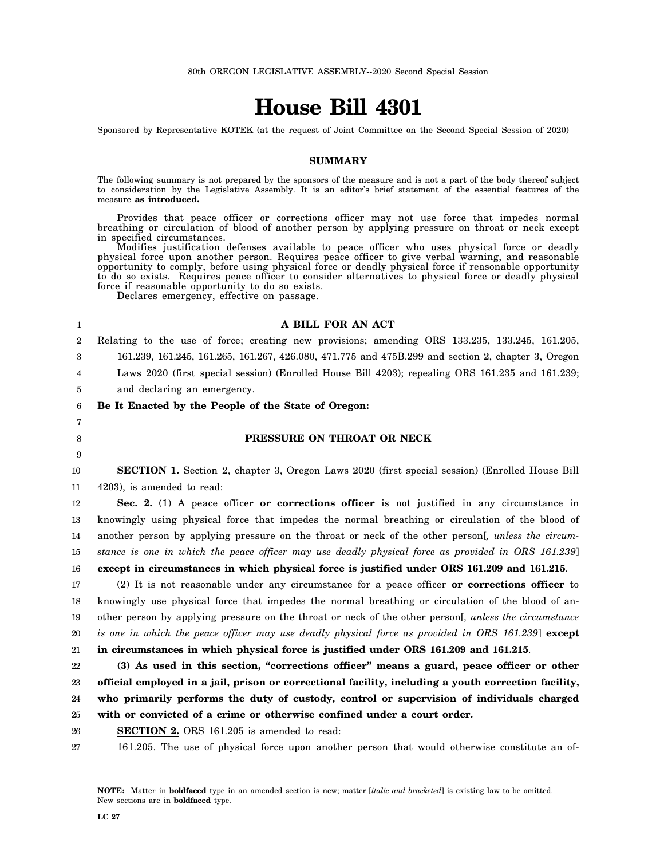# **House Bill 4301**

Sponsored by Representative KOTEK (at the request of Joint Committee on the Second Special Session of 2020)

#### **SUMMARY**

The following summary is not prepared by the sponsors of the measure and is not a part of the body thereof subject to consideration by the Legislative Assembly. It is an editor's brief statement of the essential features of the measure **as introduced.**

Provides that peace officer or corrections officer may not use force that impedes normal breathing or circulation of blood of another person by applying pressure on throat or neck except in specified circumstances.

Modifies justification defenses available to peace officer who uses physical force or deadly physical force upon another person. Requires peace officer to give verbal warning, and reasonable opportunity to comply, before using physical force or deadly physical force if reasonable opportunity to do so exists. Requires peace officer to consider alternatives to physical force or deadly physical force if reasonable opportunity to do so exists.

Declares emergency, effective on passage.

1 2 3 4 5 6 7 8 9 10 11 12 13 14 15 16 17 18 19 20 21 22 23 24 25 26 27 **A BILL FOR AN ACT** Relating to the use of force; creating new provisions; amending ORS 133.235, 133.245, 161.205, 161.239, 161.245, 161.265, 161.267, 426.080, 471.775 and 475B.299 and section 2, chapter 3, Oregon Laws 2020 (first special session) (Enrolled House Bill 4203); repealing ORS 161.235 and 161.239; and declaring an emergency. **Be It Enacted by the People of the State of Oregon: PRESSURE ON THROAT OR NECK SECTION 1.** Section 2, chapter 3, Oregon Laws 2020 (first special session) (Enrolled House Bill 4203), is amended to read: **Sec. 2.** (1) A peace officer **or corrections officer** is not justified in any circumstance in knowingly using physical force that impedes the normal breathing or circulation of the blood of another person by applying pressure on the throat or neck of the other person[*, unless the circumstance is one in which the peace officer may use deadly physical force as provided in ORS 161.239*] **except in circumstances in which physical force is justified under ORS 161.209 and 161.215**. (2) It is not reasonable under any circumstance for a peace officer **or corrections officer** to knowingly use physical force that impedes the normal breathing or circulation of the blood of another person by applying pressure on the throat or neck of the other person[*, unless the circumstance is one in which the peace officer may use deadly physical force as provided in ORS 161.239*] **except in circumstances in which physical force is justified under ORS 161.209 and 161.215**. **(3) As used in this section, "corrections officer" means a guard, peace officer or other official employed in a jail, prison or correctional facility, including a youth correction facility, who primarily performs the duty of custody, control or supervision of individuals charged with or convicted of a crime or otherwise confined under a court order. SECTION 2.** ORS 161.205 is amended to read: 161.205. The use of physical force upon another person that would otherwise constitute an of-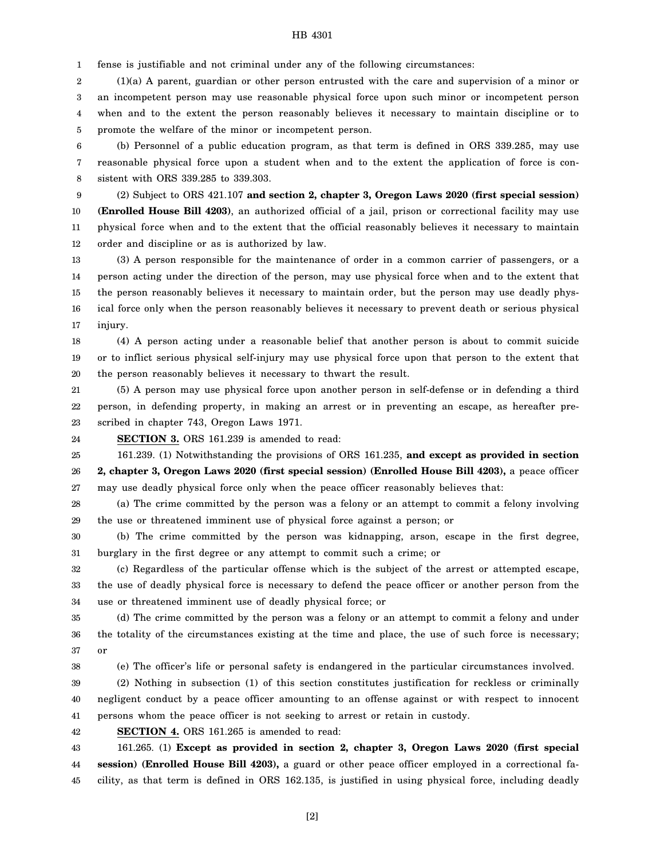1 fense is justifiable and not criminal under any of the following circumstances:

2 3 4 5 (1)(a) A parent, guardian or other person entrusted with the care and supervision of a minor or an incompetent person may use reasonable physical force upon such minor or incompetent person when and to the extent the person reasonably believes it necessary to maintain discipline or to promote the welfare of the minor or incompetent person.

6 7 8 (b) Personnel of a public education program, as that term is defined in ORS 339.285, may use reasonable physical force upon a student when and to the extent the application of force is consistent with ORS 339.285 to 339.303.

9 10 11 12 (2) Subject to ORS 421.107 **and section 2, chapter 3, Oregon Laws 2020 (first special session) (Enrolled House Bill 4203)**, an authorized official of a jail, prison or correctional facility may use physical force when and to the extent that the official reasonably believes it necessary to maintain order and discipline or as is authorized by law.

13 14 15 16 17 (3) A person responsible for the maintenance of order in a common carrier of passengers, or a person acting under the direction of the person, may use physical force when and to the extent that the person reasonably believes it necessary to maintain order, but the person may use deadly physical force only when the person reasonably believes it necessary to prevent death or serious physical injury.

18 19 20 (4) A person acting under a reasonable belief that another person is about to commit suicide or to inflict serious physical self-injury may use physical force upon that person to the extent that the person reasonably believes it necessary to thwart the result.

21 22 23 (5) A person may use physical force upon another person in self-defense or in defending a third person, in defending property, in making an arrest or in preventing an escape, as hereafter prescribed in chapter 743, Oregon Laws 1971.

24 **SECTION 3.** ORS 161.239 is amended to read:

25 26 27 161.239. (1) Notwithstanding the provisions of ORS 161.235, **and except as provided in section 2, chapter 3, Oregon Laws 2020 (first special session) (Enrolled House Bill 4203),** a peace officer may use deadly physical force only when the peace officer reasonably believes that:

28 29 (a) The crime committed by the person was a felony or an attempt to commit a felony involving the use or threatened imminent use of physical force against a person; or

30 31 (b) The crime committed by the person was kidnapping, arson, escape in the first degree, burglary in the first degree or any attempt to commit such a crime; or

32 33 34 (c) Regardless of the particular offense which is the subject of the arrest or attempted escape, the use of deadly physical force is necessary to defend the peace officer or another person from the use or threatened imminent use of deadly physical force; or

35 36 37 (d) The crime committed by the person was a felony or an attempt to commit a felony and under the totality of the circumstances existing at the time and place, the use of such force is necessary; or

(e) The officer's life or personal safety is endangered in the particular circumstances involved.

39 40 41 (2) Nothing in subsection (1) of this section constitutes justification for reckless or criminally negligent conduct by a peace officer amounting to an offense against or with respect to innocent persons whom the peace officer is not seeking to arrest or retain in custody.

42 **SECTION 4.** ORS 161.265 is amended to read:

38

43 44 45 161.265. (1) **Except as provided in section 2, chapter 3, Oregon Laws 2020 (first special session) (Enrolled House Bill 4203),** a guard or other peace officer employed in a correctional facility, as that term is defined in ORS 162.135, is justified in using physical force, including deadly

[2]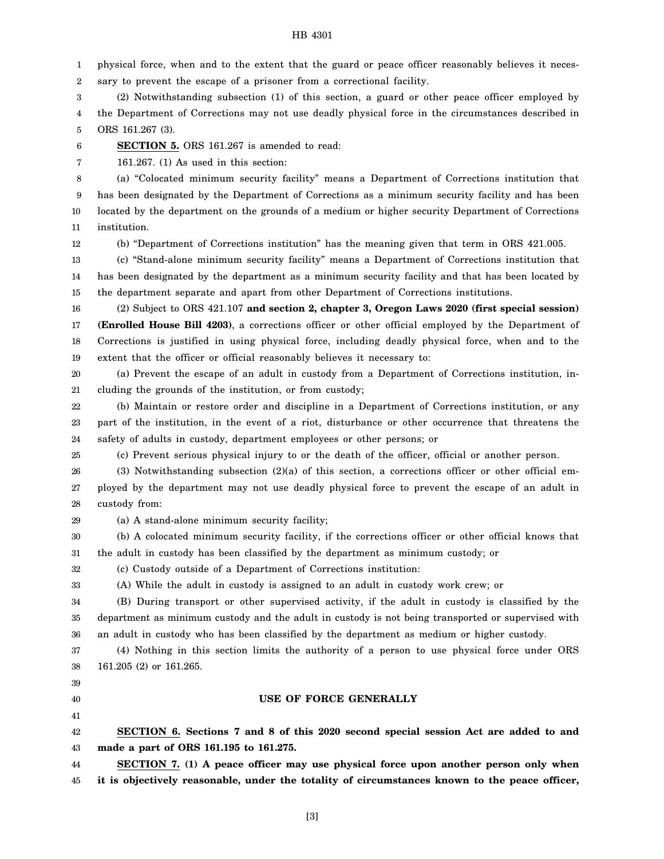1 2 physical force, when and to the extent that the guard or peace officer reasonably believes it necessary to prevent the escape of a prisoner from a correctional facility.

3 4 5 (2) Notwithstanding subsection (1) of this section, a guard or other peace officer employed by the Department of Corrections may not use deadly physical force in the circumstances described in ORS 161.267 (3).

6 **SECTION 5.** ORS 161.267 is amended to read:

7 161.267. (1) As used in this section:

8 9 10 11 (a) "Colocated minimum security facility" means a Department of Corrections institution that has been designated by the Department of Corrections as a minimum security facility and has been located by the department on the grounds of a medium or higher security Department of Corrections institution.

12

(b) "Department of Corrections institution" has the meaning given that term in ORS 421.005.

13 14 15 (c) "Stand-alone minimum security facility" means a Department of Corrections institution that has been designated by the department as a minimum security facility and that has been located by the department separate and apart from other Department of Corrections institutions.

16 17 18 19 (2) Subject to ORS 421.107 **and section 2, chapter 3, Oregon Laws 2020 (first special session) (Enrolled House Bill 4203)**, a corrections officer or other official employed by the Department of Corrections is justified in using physical force, including deadly physical force, when and to the extent that the officer or official reasonably believes it necessary to:

20 21 (a) Prevent the escape of an adult in custody from a Department of Corrections institution, including the grounds of the institution, or from custody;

22 23 24 (b) Maintain or restore order and discipline in a Department of Corrections institution, or any part of the institution, in the event of a riot, disturbance or other occurrence that threatens the safety of adults in custody, department employees or other persons; or

25 (c) Prevent serious physical injury to or the death of the officer, official or another person.

26 27 28 (3) Notwithstanding subsection (2)(a) of this section, a corrections officer or other official employed by the department may not use deadly physical force to prevent the escape of an adult in custody from:

29

(a) A stand-alone minimum security facility;

30 31 (b) A colocated minimum security facility, if the corrections officer or other official knows that the adult in custody has been classified by the department as minimum custody; or

32 (c) Custody outside of a Department of Corrections institution:

(A) While the adult in custody is assigned to an adult in custody work crew; or

34 35 36 (B) During transport or other supervised activity, if the adult in custody is classified by the department as minimum custody and the adult in custody is not being transported or supervised with an adult in custody who has been classified by the department as medium or higher custody.

37 38 (4) Nothing in this section limits the authority of a person to use physical force under ORS 161.205 (2) or 161.265.

39

33

40

**USE OF FORCE GENERALLY**

41

42 43 **SECTION 6. Sections 7 and 8 of this 2020 second special session Act are added to and made a part of ORS 161.195 to 161.275.**

44 45 **SECTION 7. (1) A peace officer may use physical force upon another person only when it is objectively reasonable, under the totality of circumstances known to the peace officer,**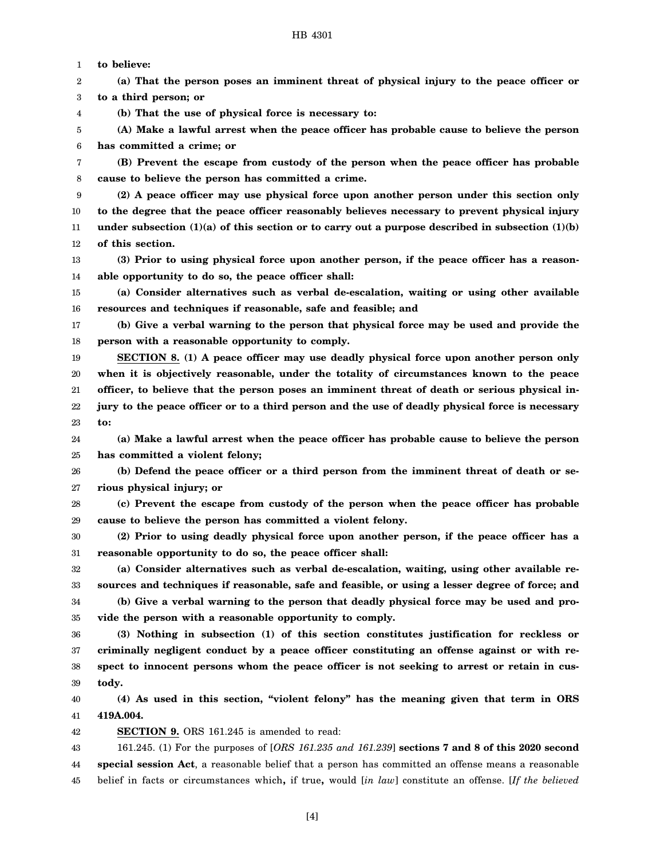1 **to believe:**

4

2 3 **(a) That the person poses an imminent threat of physical injury to the peace officer or to a third person; or**

**(b) That the use of physical force is necessary to:**

5 6 **(A) Make a lawful arrest when the peace officer has probable cause to believe the person has committed a crime; or**

7 8 **(B) Prevent the escape from custody of the person when the peace officer has probable cause to believe the person has committed a crime.**

9 10 11 12 **(2) A peace officer may use physical force upon another person under this section only to the degree that the peace officer reasonably believes necessary to prevent physical injury under subsection (1)(a) of this section or to carry out a purpose described in subsection (1)(b) of this section.**

13 14 **(3) Prior to using physical force upon another person, if the peace officer has a reasonable opportunity to do so, the peace officer shall:**

15 16 **(a) Consider alternatives such as verbal de-escalation, waiting or using other available resources and techniques if reasonable, safe and feasible; and**

17 18 **(b) Give a verbal warning to the person that physical force may be used and provide the person with a reasonable opportunity to comply.**

19 20 21 22 23 **SECTION 8. (1) A peace officer may use deadly physical force upon another person only when it is objectively reasonable, under the totality of circumstances known to the peace officer, to believe that the person poses an imminent threat of death or serious physical injury to the peace officer or to a third person and the use of deadly physical force is necessary to:**

24 25 **(a) Make a lawful arrest when the peace officer has probable cause to believe the person has committed a violent felony;**

26 27 **(b) Defend the peace officer or a third person from the imminent threat of death or serious physical injury; or**

28 29 **(c) Prevent the escape from custody of the person when the peace officer has probable cause to believe the person has committed a violent felony.**

30 31 **(2) Prior to using deadly physical force upon another person, if the peace officer has a reasonable opportunity to do so, the peace officer shall:**

32 33 34 35 **(a) Consider alternatives such as verbal de-escalation, waiting, using other available resources and techniques if reasonable, safe and feasible, or using a lesser degree of force; and (b) Give a verbal warning to the person that deadly physical force may be used and provide the person with a reasonable opportunity to comply.**

36 37 38 39 **(3) Nothing in subsection (1) of this section constitutes justification for reckless or criminally negligent conduct by a peace officer constituting an offense against or with respect to innocent persons whom the peace officer is not seeking to arrest or retain in custody.**

40 41 **(4) As used in this section, "violent felony" has the meaning given that term in ORS 419A.004.**

42 **SECTION 9.** ORS 161.245 is amended to read:

43 44 45 161.245. (1) For the purposes of [*ORS 161.235 and 161.239*] **sections 7 and 8 of this 2020 second special session Act**, a reasonable belief that a person has committed an offense means a reasonable belief in facts or circumstances which**,** if true**,** would [*in law*] constitute an offense. [*If the believed*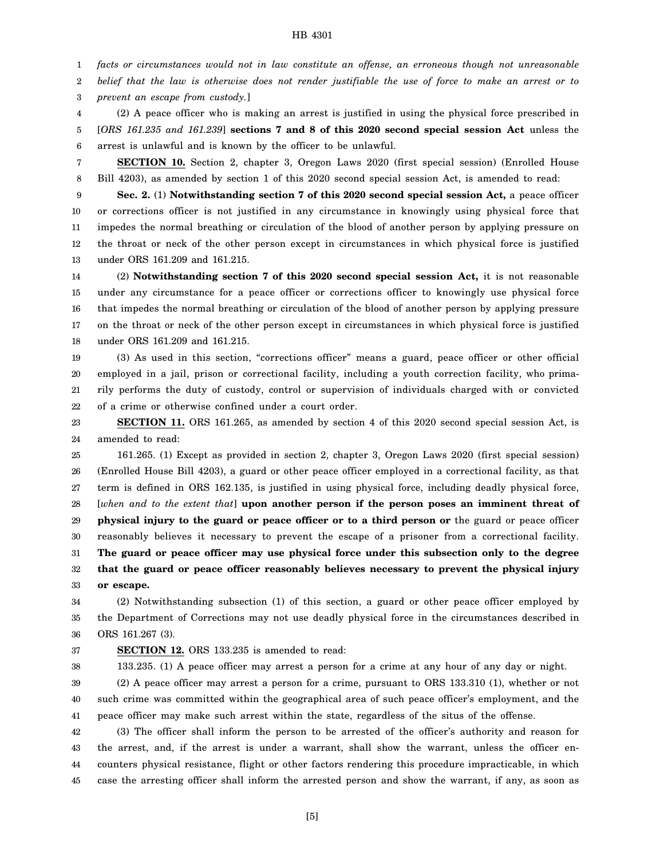1 *facts or circumstances would not in law constitute an offense, an erroneous though not unreasonable*

2 *belief that the law is otherwise does not render justifiable the use of force to make an arrest or to*

3 *prevent an escape from custody.*]

4 5 6 (2) A peace officer who is making an arrest is justified in using the physical force prescribed in [*ORS 161.235 and 161.239*] **sections 7 and 8 of this 2020 second special session Act** unless the arrest is unlawful and is known by the officer to be unlawful.

7 8 **SECTION 10.** Section 2, chapter 3, Oregon Laws 2020 (first special session) (Enrolled House Bill 4203), as amended by section 1 of this 2020 second special session Act, is amended to read:

9 10 11 12 13 **Sec. 2.** (1) **Notwithstanding section 7 of this 2020 second special session Act,** a peace officer or corrections officer is not justified in any circumstance in knowingly using physical force that impedes the normal breathing or circulation of the blood of another person by applying pressure on the throat or neck of the other person except in circumstances in which physical force is justified under ORS 161.209 and 161.215.

14 15 16 17 18 (2) **Notwithstanding section 7 of this 2020 second special session Act,** it is not reasonable under any circumstance for a peace officer or corrections officer to knowingly use physical force that impedes the normal breathing or circulation of the blood of another person by applying pressure on the throat or neck of the other person except in circumstances in which physical force is justified under ORS 161.209 and 161.215.

19 20 21 22 (3) As used in this section, "corrections officer" means a guard, peace officer or other official employed in a jail, prison or correctional facility, including a youth correction facility, who primarily performs the duty of custody, control or supervision of individuals charged with or convicted of a crime or otherwise confined under a court order.

23 24 **SECTION 11.** ORS 161.265, as amended by section 4 of this 2020 second special session Act, is amended to read:

25 26 27 28 29 30 31 32 33 161.265. (1) Except as provided in section 2, chapter 3, Oregon Laws 2020 (first special session) (Enrolled House Bill 4203), a guard or other peace officer employed in a correctional facility, as that term is defined in ORS 162.135, is justified in using physical force, including deadly physical force, [*when and to the extent that*] **upon another person if the person poses an imminent threat of physical injury to the guard or peace officer or to a third person or** the guard or peace officer reasonably believes it necessary to prevent the escape of a prisoner from a correctional facility. **The guard or peace officer may use physical force under this subsection only to the degree that the guard or peace officer reasonably believes necessary to prevent the physical injury or escape.**

34 35 36 (2) Notwithstanding subsection (1) of this section, a guard or other peace officer employed by the Department of Corrections may not use deadly physical force in the circumstances described in ORS 161.267 (3).

## 37

**SECTION 12.** ORS 133.235 is amended to read:

38 133.235. (1) A peace officer may arrest a person for a crime at any hour of any day or night.

39 40 41 (2) A peace officer may arrest a person for a crime, pursuant to ORS 133.310 (1), whether or not such crime was committed within the geographical area of such peace officer's employment, and the peace officer may make such arrest within the state, regardless of the situs of the offense.

42 43 44 45 (3) The officer shall inform the person to be arrested of the officer's authority and reason for the arrest, and, if the arrest is under a warrant, shall show the warrant, unless the officer encounters physical resistance, flight or other factors rendering this procedure impracticable, in which case the arresting officer shall inform the arrested person and show the warrant, if any, as soon as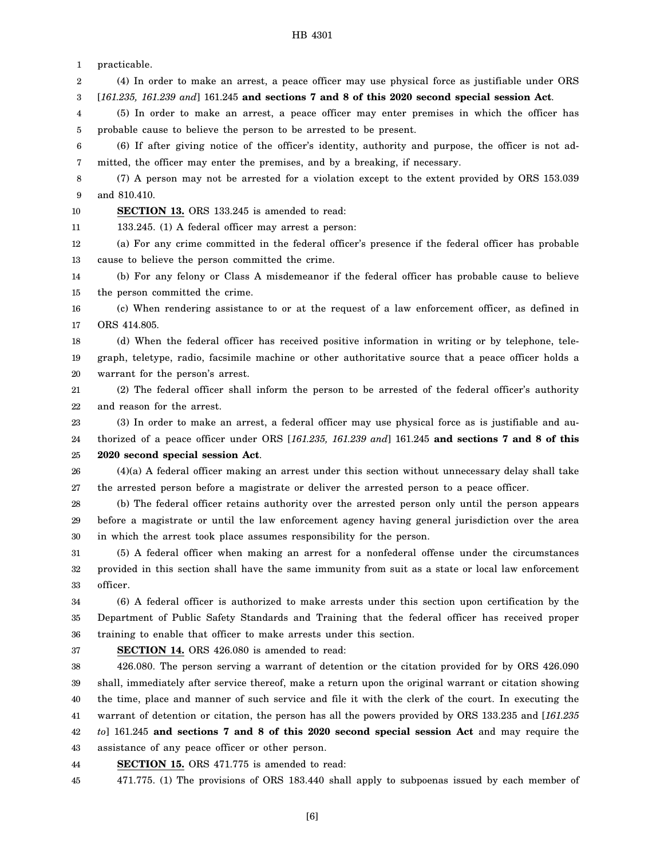1 practicable.

2 3 (4) In order to make an arrest, a peace officer may use physical force as justifiable under ORS [*161.235, 161.239 and*] 161.245 **and sections 7 and 8 of this 2020 second special session Act**.

4 5 (5) In order to make an arrest, a peace officer may enter premises in which the officer has probable cause to believe the person to be arrested to be present.

6 7 (6) If after giving notice of the officer's identity, authority and purpose, the officer is not admitted, the officer may enter the premises, and by a breaking, if necessary.

8 9 (7) A person may not be arrested for a violation except to the extent provided by ORS 153.039 and 810.410.

10 **SECTION 13.** ORS 133.245 is amended to read:

11 133.245. (1) A federal officer may arrest a person:

12 13 (a) For any crime committed in the federal officer's presence if the federal officer has probable cause to believe the person committed the crime.

14 15 (b) For any felony or Class A misdemeanor if the federal officer has probable cause to believe the person committed the crime.

16 17 (c) When rendering assistance to or at the request of a law enforcement officer, as defined in ORS 414.805.

18 19 20 (d) When the federal officer has received positive information in writing or by telephone, telegraph, teletype, radio, facsimile machine or other authoritative source that a peace officer holds a warrant for the person's arrest.

21 22 (2) The federal officer shall inform the person to be arrested of the federal officer's authority and reason for the arrest.

23 24 (3) In order to make an arrest, a federal officer may use physical force as is justifiable and authorized of a peace officer under ORS [*161.235, 161.239 and*] 161.245 **and sections 7 and 8 of this**

25 **2020 second special session Act**.

26 27 (4)(a) A federal officer making an arrest under this section without unnecessary delay shall take the arrested person before a magistrate or deliver the arrested person to a peace officer.

28 29 30 (b) The federal officer retains authority over the arrested person only until the person appears before a magistrate or until the law enforcement agency having general jurisdiction over the area in which the arrest took place assumes responsibility for the person.

31 32 33 (5) A federal officer when making an arrest for a nonfederal offense under the circumstances provided in this section shall have the same immunity from suit as a state or local law enforcement officer.

34 35 36 (6) A federal officer is authorized to make arrests under this section upon certification by the Department of Public Safety Standards and Training that the federal officer has received proper training to enable that officer to make arrests under this section.

37

**SECTION 14.** ORS 426.080 is amended to read:

38 39 40 41 42 43 426.080. The person serving a warrant of detention or the citation provided for by ORS 426.090 shall, immediately after service thereof, make a return upon the original warrant or citation showing the time, place and manner of such service and file it with the clerk of the court. In executing the warrant of detention or citation, the person has all the powers provided by ORS 133.235 and [*161.235 to*] 161.245 **and sections 7 and 8 of this 2020 second special session Act** and may require the assistance of any peace officer or other person.

44 **SECTION 15.** ORS 471.775 is amended to read:

45 471.775. (1) The provisions of ORS 183.440 shall apply to subpoenas issued by each member of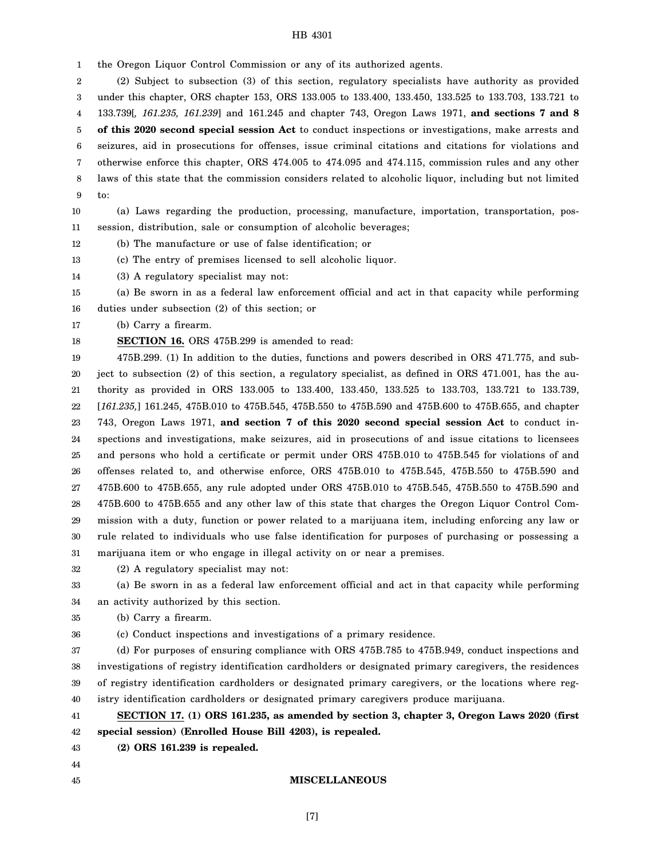1 the Oregon Liquor Control Commission or any of its authorized agents.

2 3 4 5 6 7 8 9 (2) Subject to subsection (3) of this section, regulatory specialists have authority as provided under this chapter, ORS chapter 153, ORS 133.005 to 133.400, 133.450, 133.525 to 133.703, 133.721 to 133.739[*, 161.235, 161.239*] and 161.245 and chapter 743, Oregon Laws 1971, **and sections 7 and 8 of this 2020 second special session Act** to conduct inspections or investigations, make arrests and seizures, aid in prosecutions for offenses, issue criminal citations and citations for violations and otherwise enforce this chapter, ORS 474.005 to 474.095 and 474.115, commission rules and any other laws of this state that the commission considers related to alcoholic liquor, including but not limited to:

10 11 (a) Laws regarding the production, processing, manufacture, importation, transportation, possession, distribution, sale or consumption of alcoholic beverages;

12 (b) The manufacture or use of false identification; or

13 (c) The entry of premises licensed to sell alcoholic liquor.

14 (3) A regulatory specialist may not:

15 16 (a) Be sworn in as a federal law enforcement official and act in that capacity while performing duties under subsection (2) of this section; or

17 (b) Carry a firearm.

18 **SECTION 16.** ORS 475B.299 is amended to read:

19 20 21 22 23 24 25 26 27 28 29 30 31 475B.299. (1) In addition to the duties, functions and powers described in ORS 471.775, and subject to subsection (2) of this section, a regulatory specialist, as defined in ORS 471.001, has the authority as provided in ORS 133.005 to 133.400, 133.450, 133.525 to 133.703, 133.721 to 133.739, [*161.235,*] 161.245, 475B.010 to 475B.545, 475B.550 to 475B.590 and 475B.600 to 475B.655, and chapter 743, Oregon Laws 1971, **and section 7 of this 2020 second special session Act** to conduct inspections and investigations, make seizures, aid in prosecutions of and issue citations to licensees and persons who hold a certificate or permit under ORS 475B.010 to 475B.545 for violations of and offenses related to, and otherwise enforce, ORS 475B.010 to 475B.545, 475B.550 to 475B.590 and 475B.600 to 475B.655, any rule adopted under ORS 475B.010 to 475B.545, 475B.550 to 475B.590 and 475B.600 to 475B.655 and any other law of this state that charges the Oregon Liquor Control Commission with a duty, function or power related to a marijuana item, including enforcing any law or rule related to individuals who use false identification for purposes of purchasing or possessing a marijuana item or who engage in illegal activity on or near a premises.

32 (2) A regulatory specialist may not:

33 34 (a) Be sworn in as a federal law enforcement official and act in that capacity while performing an activity authorized by this section.

35 (b) Carry a firearm.

36 (c) Conduct inspections and investigations of a primary residence.

37 38 39 40 (d) For purposes of ensuring compliance with ORS 475B.785 to 475B.949, conduct inspections and investigations of registry identification cardholders or designated primary caregivers, the residences of registry identification cardholders or designated primary caregivers, or the locations where registry identification cardholders or designated primary caregivers produce marijuana.

41 42 **SECTION 17. (1) ORS 161.235, as amended by section 3, chapter 3, Oregon Laws 2020 (first special session) (Enrolled House Bill 4203), is repealed.**

43 **(2) ORS 161.239 is repealed.**

# 44 45

**MISCELLANEOUS**